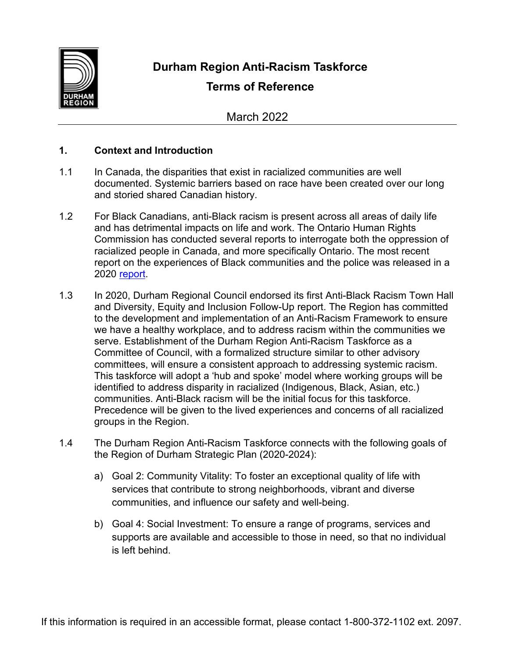

## **Durham Region Anti-Racism Taskforce**

# **Terms of Reference**

March 2022

## **1. Context and Introduction**

- 1.1 In Canada, the disparities that exist in racialized communities are well documented. Systemic barriers based on race have been created over our long and storied shared Canadian history.
- 1.2 For Black Canadians, anti-Black racism is present across all areas of daily life and has detrimental impacts on life and work. The Ontario Human Rights Commission has conducted several reports to interrogate both the oppression of racialized people in Canada, and more specifically Ontario. The most recent report on the experiences of Black communities and the police was released in a 2020 [report.](http://www.ohrc.on.ca/)
- 1.3 In 2020, Durham Regional Council endorsed its first Anti-Black Racism Town Hall and Diversity, Equity and Inclusion Follow-Up report. The Region has committed to the development and implementation of an Anti-Racism Framework to ensure we have a healthy workplace, and to address racism within the communities we serve. Establishment of the Durham Region Anti-Racism Taskforce as a Committee of Council, with a formalized structure similar to other advisory committees, will ensure a consistent approach to addressing systemic racism. This taskforce will adopt a 'hub and spoke' model where working groups will be identified to address disparity in racialized (Indigenous, Black, Asian, etc.) communities. Anti-Black racism will be the initial focus for this taskforce. Precedence will be given to the lived experiences and concerns of all racialized groups in the Region.
- 1.4 The Durham Region Anti-Racism Taskforce connects with the following goals of the Region of Durham Strategic Plan (2020-2024):
	- a) Goal 2: Community Vitality: To foster an exceptional quality of life with services that contribute to strong neighborhoods, vibrant and diverse communities, and influence our safety and well-being.
	- b) Goal 4: Social Investment: To ensure a range of programs, services and supports are available and accessible to those in need, so that no individual is left behind.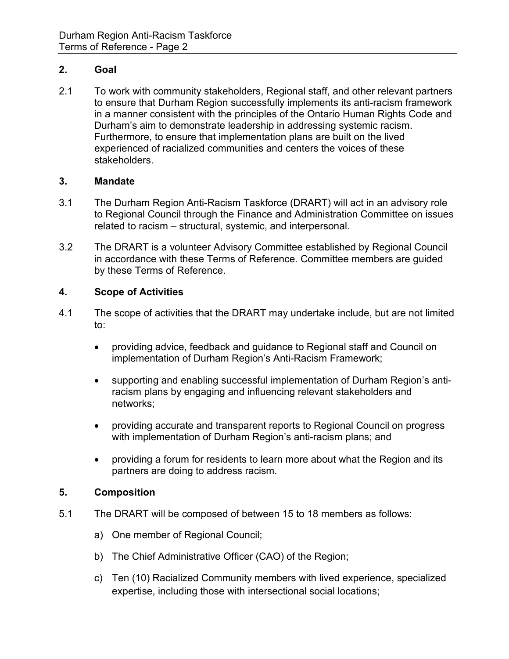## **2. Goal**

2.1 To work with community stakeholders, Regional staff, and other relevant partners to ensure that Durham Region successfully implements its anti-racism framework in a manner consistent with the principles of the Ontario Human Rights Code and Durham's aim to demonstrate leadership in addressing systemic racism. Furthermore, to ensure that implementation plans are built on the lived experienced of racialized communities and centers the voices of these stakeholders.

### **3. Mandate**

- 3.1 The Durham Region Anti-Racism Taskforce (DRART) will act in an advisory role to Regional Council through the Finance and Administration Committee on issues related to racism – structural, systemic, and interpersonal.
- 3.2 The DRART is a volunteer Advisory Committee established by Regional Council in accordance with these Terms of Reference. Committee members are guided by these Terms of Reference.

## **4. Scope of Activities**

- 4.1 The scope of activities that the DRART may undertake include, but are not limited to:
	- providing advice, feedback and guidance to Regional staff and Council on implementation of Durham Region's Anti-Racism Framework;
	- supporting and enabling successful implementation of Durham Region's antiracism plans by engaging and influencing relevant stakeholders and networks;
	- providing accurate and transparent reports to Regional Council on progress with implementation of Durham Region's anti-racism plans; and
	- providing a forum for residents to learn more about what the Region and its partners are doing to address racism.

### **5. Composition**

- 5.1 The DRART will be composed of between 15 to 18 members as follows:
	- a) One member of Regional Council;
	- b) The Chief Administrative Officer (CAO) of the Region;
	- c) Ten (10) Racialized Community members with lived experience, specialized expertise, including those with intersectional social locations;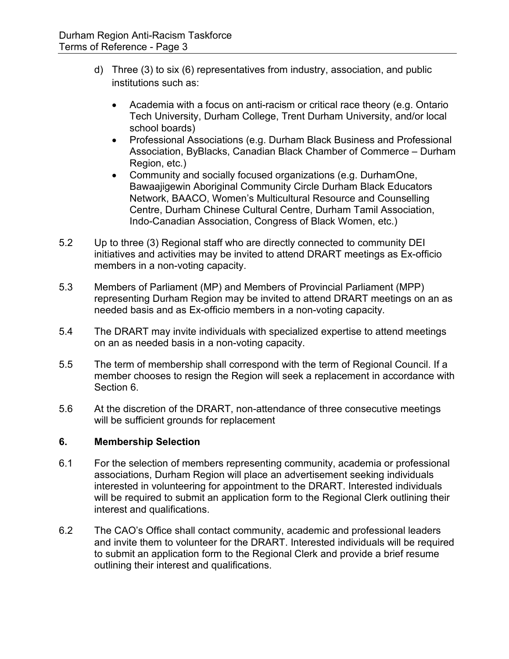- d) Three (3) to six (6) representatives from industry, association, and public institutions such as:
	- Academia with a focus on anti-racism or critical race theory (e.g. Ontario Tech University, Durham College, Trent Durham University, and/or local school boards)
	- Professional Associations (e.g. Durham Black Business and Professional Association, ByBlacks, Canadian Black Chamber of Commerce – Durham Region, etc.)
	- Community and socially focused organizations (e.g. DurhamOne, Bawaajigewin Aboriginal Community Circle Durham Black Educators Network, BAACO, Women's Multicultural Resource and Counselling Centre, Durham Chinese Cultural Centre, Durham Tamil Association, Indo-Canadian Association, Congress of Black Women, etc.)
- 5.2 Up to three (3) Regional staff who are directly connected to community DEI initiatives and activities may be invited to attend DRART meetings as Ex-officio members in a non-voting capacity.
- 5.3 Members of Parliament (MP) and Members of Provincial Parliament (MPP) representing Durham Region may be invited to attend DRART meetings on an as needed basis and as Ex-officio members in a non-voting capacity.
- 5.4 The DRART may invite individuals with specialized expertise to attend meetings on an as needed basis in a non-voting capacity.
- 5.5 The term of membership shall correspond with the term of Regional Council. If a member chooses to resign the Region will seek a replacement in accordance with Section 6.
- 5.6 At the discretion of the DRART, non-attendance of three consecutive meetings will be sufficient grounds for replacement

### **6. Membership Selection**

- 6.1 For the selection of members representing community, academia or professional associations, Durham Region will place an advertisement seeking individuals interested in volunteering for appointment to the DRART. Interested individuals will be required to submit an application form to the Regional Clerk outlining their interest and qualifications.
- 6.2 The CAO's Office shall contact community, academic and professional leaders and invite them to volunteer for the DRART. Interested individuals will be required to submit an application form to the Regional Clerk and provide a brief resume outlining their interest and qualifications.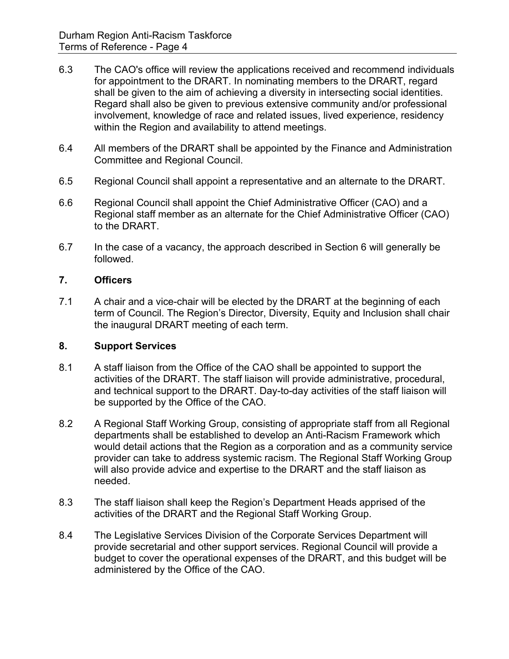- 6.3 The CAO's office will review the applications received and recommend individuals for appointment to the DRART. In nominating members to the DRART, regard shall be given to the aim of achieving a diversity in intersecting social identities. Regard shall also be given to previous extensive community and/or professional involvement, knowledge of race and related issues, lived experience, residency within the Region and availability to attend meetings.
- 6.4 All members of the DRART shall be appointed by the Finance and Administration Committee and Regional Council.
- 6.5 Regional Council shall appoint a representative and an alternate to the DRART.
- 6.6 Regional Council shall appoint the Chief Administrative Officer (CAO) and a Regional staff member as an alternate for the Chief Administrative Officer (CAO) to the DRART.
- 6.7 In the case of a vacancy, the approach described in Section 6 will generally be followed.

## **7. Officers**

7.1 A chair and a vice-chair will be elected by the DRART at the beginning of each term of Council. The Region's Director, Diversity, Equity and Inclusion shall chair the inaugural DRART meeting of each term.

### **8. Support Services**

- 8.1 A staff liaison from the Office of the CAO shall be appointed to support the activities of the DRART. The staff liaison will provide administrative, procedural, and technical support to the DRART. Day-to-day activities of the staff liaison will be supported by the Office of the CAO.
- 8.2 A Regional Staff Working Group, consisting of appropriate staff from all Regional departments shall be established to develop an Anti-Racism Framework which would detail actions that the Region as a corporation and as a community service provider can take to address systemic racism. The Regional Staff Working Group will also provide advice and expertise to the DRART and the staff liaison as needed.
- 8.3 The staff liaison shall keep the Region's Department Heads apprised of the activities of the DRART and the Regional Staff Working Group.
- 8.4 The Legislative Services Division of the Corporate Services Department will provide secretarial and other support services. Regional Council will provide a budget to cover the operational expenses of the DRART, and this budget will be administered by the Office of the CAO.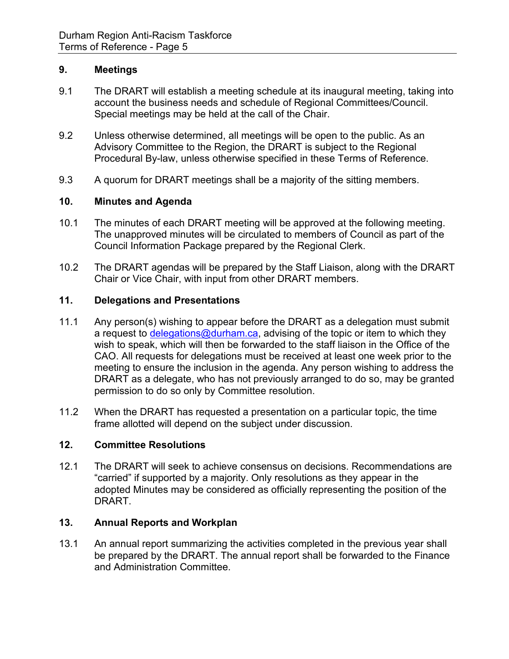## **9. Meetings**

- 9.1 The DRART will establish a meeting schedule at its inaugural meeting, taking into account the business needs and schedule of Regional Committees/Council. Special meetings may be held at the call of the Chair.
- 9.2 Unless otherwise determined, all meetings will be open to the public. As an Advisory Committee to the Region, the DRART is subject to the Regional Procedural By-law, unless otherwise specified in these Terms of Reference.
- 9.3 A quorum for DRART meetings shall be a majority of the sitting members.

## **10. Minutes and Agenda**

- 10.1 The minutes of each DRART meeting will be approved at the following meeting. The unapproved minutes will be circulated to members of Council as part of the Council Information Package prepared by the Regional Clerk.
- 10.2 The DRART agendas will be prepared by the Staff Liaison, along with the DRART Chair or Vice Chair, with input from other DRART members.

### **11. Delegations and Presentations**

- 11.1 Any person(s) wishing to appear before the DRART as a delegation must submit a request to [delegations@durham.ca,](mailto:delegations@durham.ca) advising of the topic or item to which they wish to speak, which will then be forwarded to the staff liaison in the Office of the CAO. All requests for delegations must be received at least one week prior to the meeting to ensure the inclusion in the agenda. Any person wishing to address the DRART as a delegate, who has not previously arranged to do so, may be granted permission to do so only by Committee resolution.
- 11.2 When the DRART has requested a presentation on a particular topic, the time frame allotted will depend on the subject under discussion.

### **12. Committee Resolutions**

12.1 The DRART will seek to achieve consensus on decisions. Recommendations are "carried" if supported by a majority. Only resolutions as they appear in the adopted Minutes may be considered as officially representing the position of the DRART.

### **13. Annual Reports and Workplan**

13.1 An annual report summarizing the activities completed in the previous year shall be prepared by the DRART. The annual report shall be forwarded to the Finance and Administration Committee.